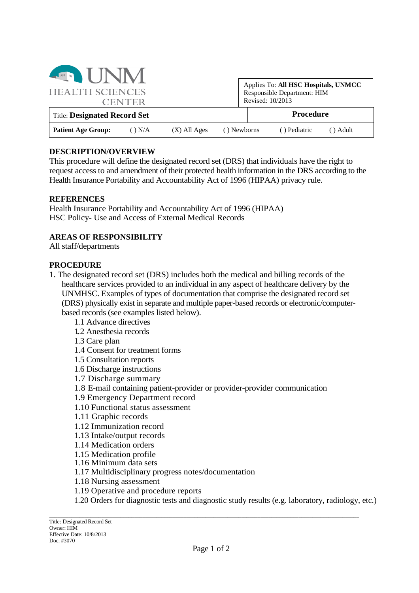| <b>ENERGISTING</b>                  |               |                |             |                                                                                         |              |          |  |
|-------------------------------------|---------------|----------------|-------------|-----------------------------------------------------------------------------------------|--------------|----------|--|
| <b>HEALTH SCIENCES</b>              | <b>CENTER</b> |                |             | Applies To: All HSC Hospitals, UNMCC<br>Responsible Department: HIM<br>Revised: 10/2013 |              |          |  |
| <b>Title: Designated Record Set</b> |               |                |             |                                                                                         | Procedure    |          |  |
| <b>Patient Age Group:</b>           | $()$ N/A      | $(X)$ All Ages | () Newborns |                                                                                         | () Pediatric | () Adult |  |

### **DESCRIPTION/OVERVIEW**

This procedure will define the designated record set (DRS) that individuals have the right to request access to and amendment of their protected health information in the DRS according to the Health Insurance Portability and Accountability Act of 1996 (HIPAA) privacy rule.

### **REFERENCES**

Health Insurance Portability and Accountability Act of 1996 (HIPAA) HSC Policy- Use and Access of External Medical Records

## **AREAS OF RESPONSIBILITY**

All staff/departments

### **PROCEDURE**

- 1. The designated record set (DRS) includes both the medical and billing records of the healthcare services provided to an individual in any aspect of healthcare delivery by the UNMHSC. Examples of types of documentation that comprise the designated record set (DRS) physically exist in separate and multiple paper-based records or electronic/computerbased records (see examples listed below).
	- 1.1 Advance directives
	- 1..2 Anesthesia records
	- 1.3 Care plan
	- 1.4 Consent for treatment forms
	- 1.5 Consultation reports
	- 1.6 Discharge instructions
	- 1.7 Discharge summary
	- 1.8 E-mail containing patient-provider or provider-provider communication
	- 1.9 Emergency Department record
	- 1.10 Functional status assessment
	- 1.11 Graphic records
	- 1.12 Immunization record
	- 1.13 Intake/output records
	- 1.14 Medication orders
	- 1.15 Medication profile
	- 1.16 Minimum data sets
	- 1.17 Multidisciplinary progress notes/documentation
	- 1.18 Nursing assessment
	- 1.19 Operative and procedure reports
	- 1.20 Orders for diagnostic tests and diagnostic study results (e.g. laboratory, radiology, etc.)

\_\_\_\_\_\_\_\_\_\_\_\_\_\_\_\_\_\_\_\_\_\_\_\_\_\_\_\_\_\_\_\_\_\_\_\_\_\_\_\_\_\_\_\_\_\_\_\_\_\_\_\_\_\_\_\_\_\_\_\_\_\_\_\_\_\_\_\_\_\_\_\_\_\_\_\_\_\_\_\_\_\_\_\_\_\_\_\_\_\_\_\_\_\_\_\_\_\_\_\_\_\_\_\_\_\_\_\_\_\_\_\_\_